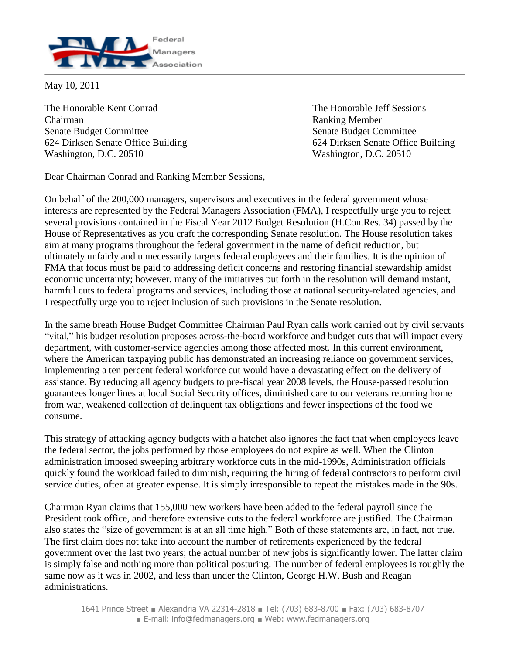

May 10, 2011

The Honorable Kent Conrad The Honorable Jeff Sessions Chairman Ranking Member Senate Budget Committee Senate Budget Committee Washington, D.C. 20510 Washington, D.C. 20510

624 Dirksen Senate Office Building 624 Dirksen Senate Office Building

Dear Chairman Conrad and Ranking Member Sessions,

On behalf of the 200,000 managers, supervisors and executives in the federal government whose interests are represented by the Federal Managers Association (FMA), I respectfully urge you to reject several provisions contained in the Fiscal Year 2012 Budget Resolution (H.Con.Res. 34) passed by the House of Representatives as you craft the corresponding Senate resolution. The House resolution takes aim at many programs throughout the federal government in the name of deficit reduction, but ultimately unfairly and unnecessarily targets federal employees and their families. It is the opinion of FMA that focus must be paid to addressing deficit concerns and restoring financial stewardship amidst economic uncertainty; however, many of the initiatives put forth in the resolution will demand instant, harmful cuts to federal programs and services, including those at national security-related agencies, and I respectfully urge you to reject inclusion of such provisions in the Senate resolution.

In the same breath House Budget Committee Chairman Paul Ryan calls work carried out by civil servants "vital," his budget resolution proposes across-the-board workforce and budget cuts that will impact every department, with customer-service agencies among those affected most. In this current environment, where the American taxpaying public has demonstrated an increasing reliance on government services, implementing a ten percent federal workforce cut would have a devastating effect on the delivery of assistance. By reducing all agency budgets to pre-fiscal year 2008 levels, the House-passed resolution guarantees longer lines at local Social Security offices, diminished care to our veterans returning home from war, weakened collection of delinquent tax obligations and fewer inspections of the food we consume.

This strategy of attacking agency budgets with a hatchet also ignores the fact that when employees leave the federal sector, the jobs performed by those employees do not expire as well. When the Clinton administration imposed sweeping arbitrary workforce cuts in the mid-1990s, Administration officials quickly found the workload failed to diminish, requiring the hiring of federal contractors to perform civil service duties, often at greater expense. It is simply irresponsible to repeat the mistakes made in the 90s.

Chairman Ryan claims that 155,000 new workers have been added to the federal payroll since the President took office, and therefore extensive cuts to the federal workforce are justified. The Chairman also states the "size of government is at an all time high." Both of these statements are, in fact, not true. The first claim does not take into account the number of retirements experienced by the federal government over the last two years; the actual number of new jobs is significantly lower. The latter claim is simply false and nothing more than political posturing. The number of federal employees is roughly the same now as it was in 2002, and less than under the Clinton, George H.W. Bush and Reagan administrations.